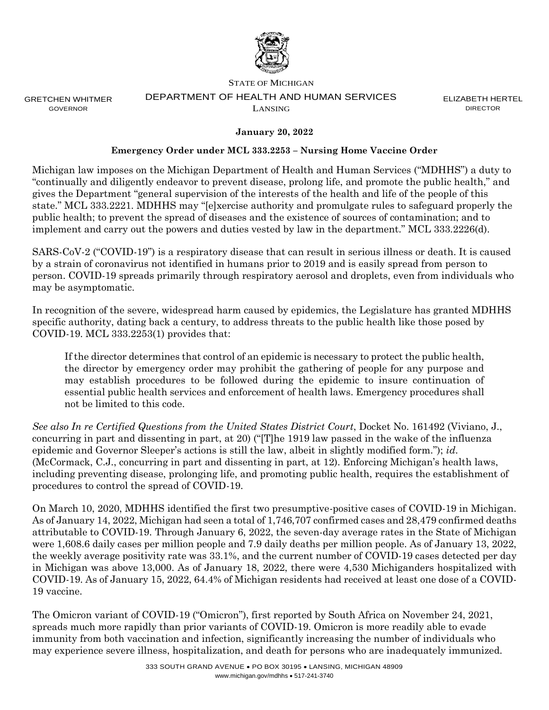

GRETCHEN WHITMER GOVERNOR

#### STATE OF MICHIGAN DEPARTMENT OF HEALTH AND HUMAN SERVICES LANSING

ELIZABETH HERTEL **DIRECTOR** 

## **January 20, 2022**

### **Emergency Order under MCL 333.2253 – Nursing Home Vaccine Order**

Michigan law imposes on the Michigan Department of Health and Human Services ("MDHHS") a duty to "continually and diligently endeavor to prevent disease, prolong life, and promote the public health," and gives the Department "general supervision of the interests of the health and life of the people of this state." MCL 333.2221. MDHHS may "[e]xercise authority and promulgate rules to safeguard properly the public health; to prevent the spread of diseases and the existence of sources of contamination; and to implement and carry out the powers and duties vested by law in the department." MCL 333.2226(d).

SARS-CoV-2 ("COVID-19") is a respiratory disease that can result in serious illness or death. It is caused by a strain of coronavirus not identified in humans prior to 2019 and is easily spread from person to person. COVID-19 spreads primarily through respiratory aerosol and droplets, even from individuals who may be asymptomatic.

In recognition of the severe, widespread harm caused by epidemics, the Legislature has granted MDHHS specific authority, dating back a century, to address threats to the public health like those posed by COVID-19. MCL 333.2253(1) provides that:

If the director determines that control of an epidemic is necessary to protect the public health, the director by emergency order may prohibit the gathering of people for any purpose and may establish procedures to be followed during the epidemic to insure continuation of essential public health services and enforcement of health laws. Emergency procedures shall not be limited to this code.

*See also In re Certified Questions from the United States District Court*, Docket No. 161492 (Viviano, J., concurring in part and dissenting in part, at 20) ("[T]he 1919 law passed in the wake of the influenza epidemic and Governor Sleeper's actions is still the law, albeit in slightly modified form."); *id*. (McCormack, C.J., concurring in part and dissenting in part, at 12). Enforcing Michigan's health laws, including preventing disease, prolonging life, and promoting public health, requires the establishment of procedures to control the spread of COVID-19.

On March 10, 2020, MDHHS identified the first two presumptive-positive cases of COVID-19 in Michigan. As of January 14, 2022, Michigan had seen a total of 1,746,707 confirmed cases and 28,479 confirmed deaths attributable to COVID-19. Through January 6, 2022, the seven-day average rates in the State of Michigan were 1,608.6 daily cases per million people and 7.9 daily deaths per million people. As of January 13, 2022, the weekly average positivity rate was 33.1%, and the current number of COVID-19 cases detected per day in Michigan was above 13,000. As of January 18, 2022, there were 4,530 Michiganders hospitalized with COVID-19. As of January 15, 2022, 64.4% of Michigan residents had received at least one dose of a COVID-19 vaccine.

The Omicron variant of COVID-19 ("Omicron"), first reported by South Africa on November 24, 2021, spreads much more rapidly than prior variants of COVID-19. Omicron is more readily able to evade immunity from both vaccination and infection, significantly increasing the number of individuals who may experience severe illness, hospitalization, and death for persons who are inadequately immunized.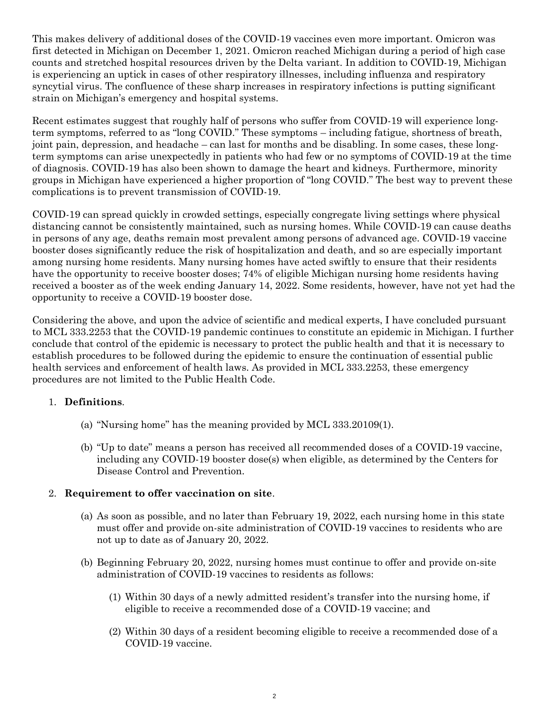This makes delivery of additional doses of the COVID-19 vaccines even more important. Omicron was first detected in Michigan on December 1, 2021. Omicron reached Michigan during a period of high case counts and stretched hospital resources driven by the Delta variant. In addition to COVID-19, Michigan is experiencing an uptick in cases of other respiratory illnesses, including influenza and respiratory syncytial virus. The confluence of these sharp increases in respiratory infections is putting significant strain on Michigan's emergency and hospital systems.

Recent estimates suggest that roughly half of persons who suffer from COVID-19 will experience longterm symptoms, referred to as "long COVID." These symptoms – including fatigue, shortness of breath, joint pain, depression, and headache – can last for months and be disabling. In some cases, these longterm symptoms can arise unexpectedly in patients who had few or no symptoms of COVID-19 at the time of diagnosis. COVID-19 has also been shown to damage the heart and kidneys. Furthermore, minority groups in Michigan have experienced a higher proportion of "long COVID." The best way to prevent these complications is to prevent transmission of COVID-19.

COVID-19 can spread quickly in crowded settings, especially congregate living settings where physical distancing cannot be consistently maintained, such as nursing homes. While COVID-19 can cause deaths in persons of any age, deaths remain most prevalent among persons of advanced age. COVID-19 vaccine booster doses significantly reduce the risk of hospitalization and death, and so are especially important among nursing home residents. Many nursing homes have acted swiftly to ensure that their residents have the opportunity to receive booster doses; 74% of eligible Michigan nursing home residents having received a booster as of the week ending January 14, 2022. Some residents, however, have not yet had the opportunity to receive a COVID-19 booster dose.

Considering the above, and upon the advice of scientific and medical experts, I have concluded pursuant to MCL 333.2253 that the COVID-19 pandemic continues to constitute an epidemic in Michigan. I further conclude that control of the epidemic is necessary to protect the public health and that it is necessary to establish procedures to be followed during the epidemic to ensure the continuation of essential public health services and enforcement of health laws. As provided in MCL 333.2253, these emergency procedures are not limited to the Public Health Code.

# 1. **Definitions**.

- (a) "Nursing home" has the meaning provided by MCL 333.20109(1).
- (b) "Up to date" means a person has received all recommended doses of a COVID-19 vaccine, including any COVID-19 booster dose(s) when eligible, as determined by the Centers for Disease Control and Prevention.

### 2. **Requirement to offer vaccination on site**.

- (a) As soon as possible, and no later than February 19, 2022, each nursing home in this state must offer and provide on-site administration of COVID-19 vaccines to residents who are not up to date as of January 20, 2022.
- (b) Beginning February 20, 2022, nursing homes must continue to offer and provide on-site administration of COVID-19 vaccines to residents as follows:
	- (1) Within 30 days of a newly admitted resident's transfer into the nursing home, if eligible to receive a recommended dose of a COVID-19 vaccine; and
	- (2) Within 30 days of a resident becoming eligible to receive a recommended dose of a COVID-19 vaccine.